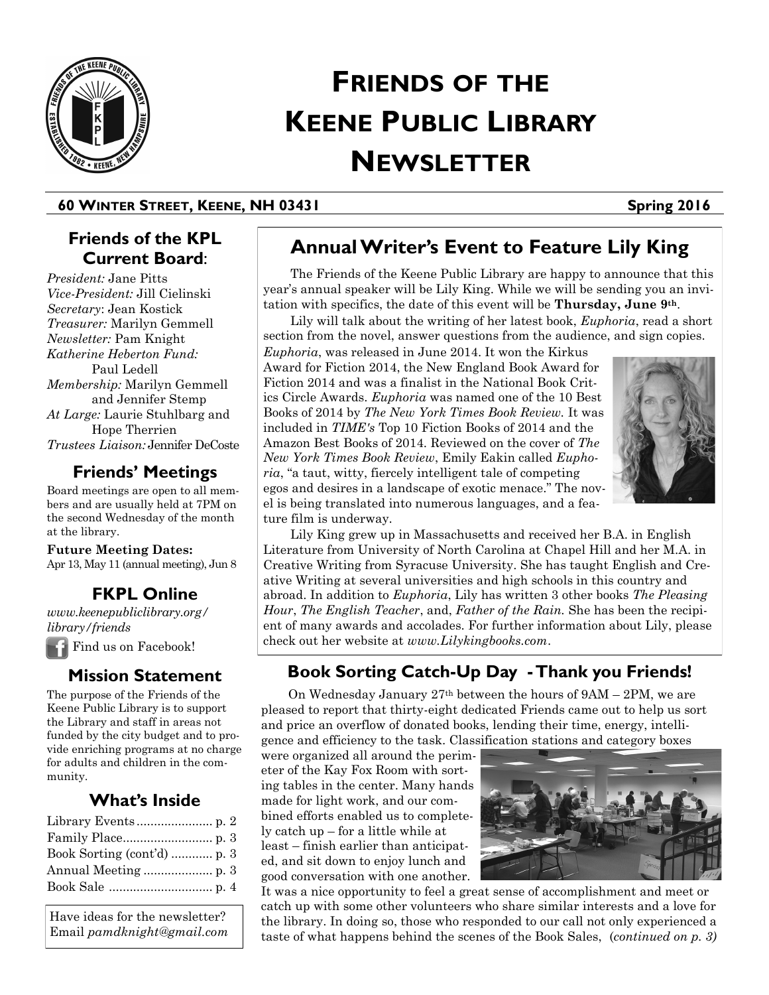

# **FRIENDS OF THE KEENE PUBLIC LIBRARY NEWSLETTER**

## **60 WINTER STREET, KEENE, NH 03431 Spring 2016**

# **Friends of the KPL Current Board**:

*President:* Jane Pitts *Vice-President:* Jill Cielinski *Secretary*: Jean Kostick *Treasurer:* Marilyn Gemmell *Newsletter:* Pam Knight *Katherine Heberton Fund:*  Paul Ledell *Membership:* Marilyn Gemmell and Jennifer Stemp *At Large:* Laurie Stuhlbarg and Hope Therrien *Trustees Liaison:* Jennifer DeCoste

# **Friends' Meetings**

Board meetings are open to all members and are usually held at 7PM on the second Wednesday of the month at the library.

**Future Meeting Dates:**  Apr 13, May 11 (annual meeting), Jun 8

# **FKPL Online**

*www.keenepubliclibrary.org/ library/friends*

Find us on Facebook!

# **Mission Statement**

The purpose of the Friends of the Keene Public Library is to support the Library and staff in areas not funded by the city budget and to provide enriching programs at no charge for adults and children in the community.

# **What's Inside**

| Book Sorting (cont'd)  p. 3 |  |
|-----------------------------|--|
|                             |  |
|                             |  |

Have ideas for the newsletter? Email *pamdknight@gmail.com*

# **Annual Writer's Event to Feature Lily King**

The Friends of the Keene Public Library are happy to announce that this year's annual speaker will be Lily King. While we will be sending you an invitation with specifics, the date of this event will be **Thursday, June 9th**.

Lily will talk about the writing of her latest book, *Euphoria*, read a short section from the novel, answer questions from the audience, and sign copies.

*Euphoria*, was released in June 2014. It won the Kirkus Award for Fiction 2014, the New England Book Award for Fiction 2014 and was a finalist in the National Book Critics Circle Awards. *Euphoria* was named one of the 10 Best Books of 2014 by *The New York Times Book Review.* It was included in *TIME's* Top 10 Fiction Books of 2014 and the Amazon Best Books of 2014. Reviewed on the cover of *The New York Times Book Review*, Emily Eakin called *Euphoria*, "a taut, witty, fiercely intelligent tale of competing egos and desires in a landscape of exotic menace." The novel is being translated into numerous languages, and a feature film is underway.



Lily King grew up in Massachusetts and received her B.A. in English Literature from University of North Carolina at Chapel Hill and her M.A. in Creative Writing from Syracuse University. She has taught English and Creative Writing at several universities and high schools in this country and abroad. In addition to *Euphoria*, Lily has written 3 other books *The Pleasing Hour*, *The English Teacher*, and, *Father of the Rain.* She has been the recipient of many awards and accolades. For further information about Lily, please check out her website at *www.Lilykingbooks.com*.

# **Book Sorting Catch-Up Day -Thank you Friends!**

On Wednesday January 27th between the hours of 9AM – 2PM, we are pleased to report that thirty-eight dedicated Friends came out to help us sort and price an overflow of donated books, lending their time, energy, intelligence and efficiency to the task. Classification stations and category boxes

were organized all around the perimeter of the Kay Fox Room with sorting tables in the center. Many hands made for light work, and our combined efforts enabled us to completely catch up – for a little while at least – finish earlier than anticipated, and sit down to enjoy lunch and good conversation with one another.



It was a nice opportunity to feel a great sense of accomplishment and meet or catch up with some other volunteers who share similar interests and a love for the library. In doing so, those who responded to our call not only experienced a taste of what happens behind the scenes of the Book Sales, (*continued on p. 3)*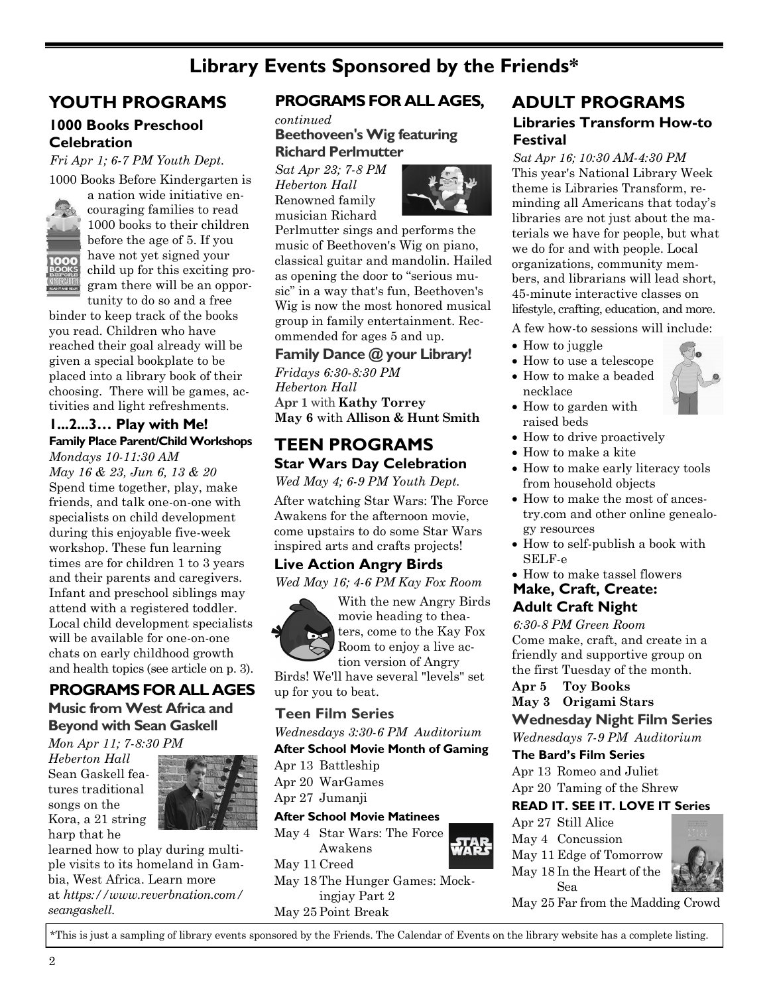# **Library Events Sponsored by the Friends\***

# **YOUTH PROGRAMS**

#### **1000 Books Preschool Celebration**

*Fri Apr 1; 6-7 PM Youth Dept.* 1000 Books Before Kindergarten is



a nation wide initiative encouraging families to read 1000 books to their children before the age of 5. If you have not yet signed your child up for this exciting program there will be an opportunity to do so and a free

binder to keep track of the books you read. Children who have reached their goal already will be given a special bookplate to be placed into a library book of their choosing. There will be games, activities and light refreshments.

#### **1...2...3… Play with Me! Family Place Parent/Child Workshops**

*Mondays 10-11:30 AM May 16 & 23, Jun 6, 13 & 20* Spend time together, play, make friends, and talk one-on-one with specialists on child development during this enjoyable five-week workshop. These fun learning times are for children 1 to 3 years and their parents and caregivers. Infant and preschool siblings may attend with a registered toddler. Local child development specialists will be available for one-on-one chats on early childhood growth and health topics (see article on p. 3).

## **PROGRAMS FOR ALL AGES Music from West Africa and Beyond with Sean Gaskell**

*Mon Apr 11; 7-8:30 PM Heberton Hall*  Sean Gaskell features traditional songs on the Kora, a 21 string harp that he



learned how to play during multiple visits to its homeland in Gambia, West Africa. Learn more at *[https://www.reverbnation.com/](https://www.reverbnation.com/seangaskell) [seangaskell](https://www.reverbnation.com/seangaskell)*.

# **PROGRAMS FOR ALL AGES,**

*continued* **Beethoveen's Wig featuring Richard Perlmutter**

*Sat Apr 23; 7-8 PM Heberton Hall* Renowned family musician Richard



Perlmutter sings and performs the music of Beethoven's Wig on piano, classical guitar and mandolin. Hailed as opening the door to "serious music" in a way that's fun, Beethoven's Wig is now the most honored musical group in family entertainment. Recommended for ages 5 and up.

**[Family Dance @ your Library!](http://keenepubliclibrary.evanced.info/signup/EventDetails.aspx?EventId=5658&lib=)** 

*Fridays 6:30-8:30 PM Heberton Hall*  **Apr 1** with **Kathy Torrey May 6** with **Allison & Hunt Smith**

# **TEEN PROGRAMS Star Wars Day Celebration**

*Wed May 4; 6-9 PM Youth Dept.*

After watching Star Wars: The Force Awakens for the afternoon movie, come upstairs to do some Star Wars inspired arts and crafts projects!

## **Live Action Angry Birds**

*Wed May 16; 4-6 PM Kay Fox Room*



With the new Angry Birds movie heading to theaters, come to the Kay Fox Room to enjoy a live action version of Angry

Birds! We'll have several "levels" set up for you to beat.

## **Teen Film Series**

*Wednesdays 3:30-6 PM Auditorium*

#### **After School Movie Month of Gaming**

Apr 13 Battleship

Apr 20 WarGames

Apr 27 Jumanji

#### **After School Movie Matinees**

May 4 Star Wars: The Force Awakens

May 11 Creed

May 18 The Hunger Games: Mockingjay Part 2 May 25 Point Break

**Libraries Transform How-to Festival ADULT PROGRAMS**

*Sat Apr 16; 10:30 AM-4:30 PM*  This year's National Library Week theme is Libraries Transform, reminding all Americans that today's libraries are not just about the materials we have for people, but what we do for and with people. Local organizations, community members, and librarians will lead short, 45-minute interactive classes on lifestyle, crafting, education, and more.

A few how-to sessions will include:

- How to juggle
- How to use a telescope
- How to make a beaded necklace
- How to garden with
- raised beds • How to drive proactively
- How to make a kite
- How to make early literacy tools from household objects
- How to make the most of ancestry.com and other online genealogy resources
- How to self-publish a book with SELF-e
- How to make tassel flowers

#### **Make, Craft, Create: Adult Craft Night**

*6:30-8 PM Green Room* Come make, craft, and create in a friendly and supportive group on the first Tuesday of the month.

**Apr 5 Toy Books**

## **May 3 Origami Stars**

#### **Wednesday Night Film Series**

*Wednesdays 7-9 PM Auditorium*

#### **The Bard's Film Series**

Apr 13 Romeo and Juliet Apr 20 Taming of the Shrew

### **READ IT. SEE IT. LOVE IT Series**

Apr 27 Still Alice May 4 Concussion May 11 Edge of Tomorrow May 18 In the Heart of the Sea



May 25 Far from the Madding Crowd

\*This is just a sampling of library events sponsored by the Friends. The Calendar of Events on the library website has a complete listing.

2

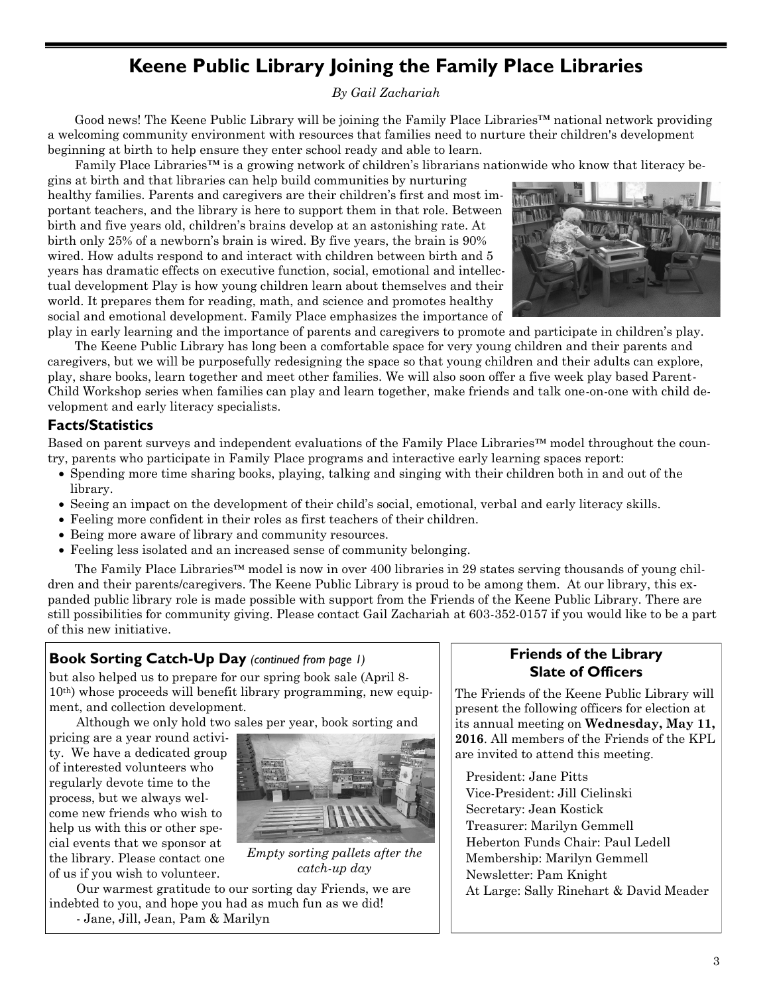# **Keene Public Library Joining the Family Place Libraries**

#### *By Gail Zachariah*

Good news! The Keene Public Library will be joining the Family Place Libraries™ national network providing a welcoming community environment with resources that families need to nurture their children's development beginning at birth to help ensure they enter school ready and able to learn.

Family Place Libraries™ is a growing network of children's librarians nationwide who know that literacy be-

gins at birth and that libraries can help build communities by nurturing healthy families. Parents and caregivers are their children's first and most important teachers, and the library is here to support them in that role. Between birth and five years old, children's brains develop at an astonishing rate. At birth only 25% of a newborn's brain is wired. By five years, the brain is 90% wired. How adults respond to and interact with children between birth and 5 years has dramatic effects on executive function, social, emotional and intellectual development Play is how young children learn about themselves and their world. It prepares them for reading, math, and science and promotes healthy social and emotional development. Family Place emphasizes the importance of



play in early learning and the importance of parents and caregivers to promote and participate in children's play. The Keene Public Library has long been a comfortable space for very young children and their parents and caregivers, but we will be purposefully redesigning the space so that young children and their adults can explore, play, share books, learn together and meet other families. We will also soon offer a five week play based Parent-Child Workshop series when families can play and learn together, make friends and talk one-on-one with child development and early literacy specialists.

## **Facts/Statistics**

Based on parent surveys and independent evaluations of the Family Place Libraries™ model throughout the country, parents who participate in Family Place programs and interactive early learning spaces report:

- Spending more time sharing books, playing, talking and singing with their children both in and out of the library.
- Seeing an impact on the development of their child's social, emotional, verbal and early literacy skills.
- Feeling more confident in their roles as first teachers of their children.
- Being more aware of library and community resources.
- Feeling less isolated and an increased sense of community belonging.

The Family Place Libraries™ model is now in over 400 libraries in 29 states serving thousands of young children and their parents/caregivers. The Keene Public Library is proud to be among them. At our library, this expanded public library role is made possible with support from the Friends of the Keene Public Library. There are still possibilities for community giving. Please contact Gail Zachariah at 603-352-0157 if you would like to be a part of this new initiative.

## **Book Sorting Catch-Up Day** *(continued from page 1)*

but also helped us to prepare for our spring book sale (April 8- 10th) whose proceeds will benefit library programming, new equipment, and collection development.

Although we only hold two sales per year, book sorting and

pricing are a year round activity. We have a dedicated group of interested volunteers who regularly devote time to the process, but we always welcome new friends who wish to help us with this or other special events that we sponsor at the library. Please contact one of us if you wish to volunteer.



*Empty sorting pallets after the catch-up day*

Our warmest gratitude to our sorting day Friends, we are indebted to you, and hope you had as much fun as we did! - Jane, Jill, Jean, Pam & Marilyn

## **Friends of the Library Slate of Officers**

The Friends of the Keene Public Library will present the following officers for election at its annual meeting on **Wednesday, May 11, 2016**. All members of the Friends of the KPL are invited to attend this meeting.

President: Jane Pitts Vice-President: Jill Cielinski Secretary: Jean Kostick Treasurer: Marilyn Gemmell Heberton Funds Chair: Paul Ledell Membership: Marilyn Gemmell Newsletter: Pam Knight At Large: Sally Rinehart & David Meader